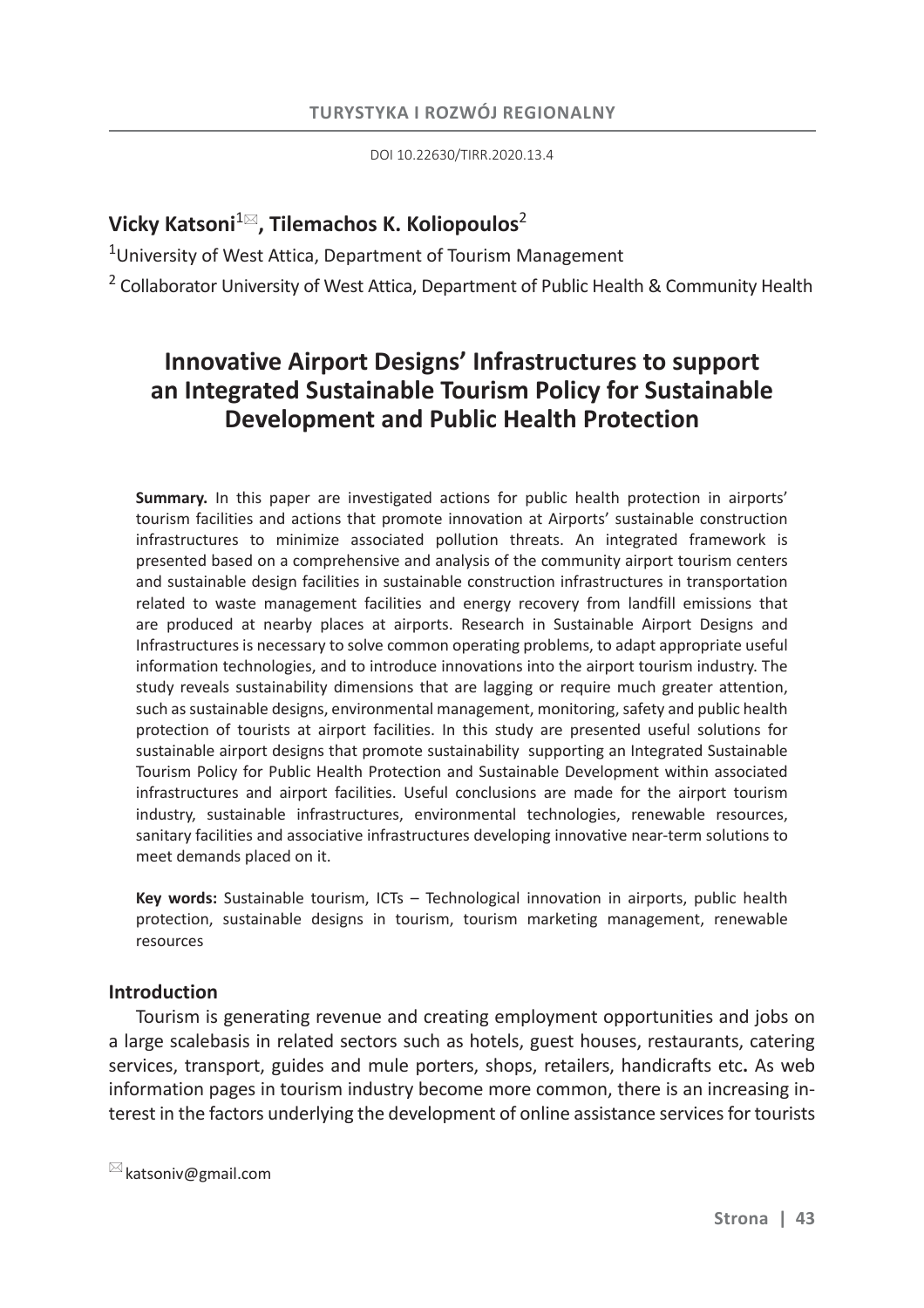DOI 10.22630/TIRR.2020.13.4

## **Vicky Katsoni**<sup>1</sup> **, Tilemachos K. Koliopoulos**<sup>2</sup>

<sup>1</sup>University of West Attica, Department of Tourism Management

<sup>2</sup> Collaborator University of West Attica, Department of Public Health & Community Health

# **Innovative Airport Designs' Infrastructures to support an Integrated Sustainable Tourism Policy for Sustainable Development and Public Health Protection**

**Summary.** In this paper are investigated actions for public health protection in airports' tourism facilities and actions that promote innovation at Airports' sustainable construction infrastructures to minimize associated pollution threats. An integrated framework is presented based on a comprehensive and analysis of the community airport tourism centers and sustainable design facilities in sustainable construction infrastructures in transportation related to waste management facilities and energy recovery from landfill emissions that are produced at nearby places at airports. Research in Sustainable Airport Designs and Infrastructures is necessary to solve common operating problems, to adapt appropriate useful information technologies, and to introduce innovations into the airport tourism industry. The study reveals sustainability dimensions that are lagging or require much greater attention, such as sustainable designs, environmental management, monitoring, safety and public health protection of tourists at airport facilities. In this study are presented useful solutions for sustainable airport designs that promote sustainability supporting an Integrated Sustainable Tourism Policy for Public Health Protection and Sustainable Development within associated infrastructures and airport facilities. Useful conclusions are made for the airport tourism industry, sustainable infrastructures, environmental technologies, renewable resources, sanitary facilities and associative infrastructures developing innovative near-term solutions to meet demands placed on it.

**Key words:** Sustainable tourism, ICTs – Technological innovation in airports, public health protection, sustainable designs in tourism, tourism marketing management, renewable resources

## **Introduction**

Tourism is generating revenue and creating employment opportunities and jobs on a large scalebasis in related sectors such as hotels, guest houses, restaurants, catering services, transport, guides and mule porters, shops, retailers, handicrafts etc**.** As web information pages in tourism industry become more common, there is an increasing interest in the factors underlying the development of online assistance services for tourists

 $\boxtimes$  katsoniv@gmail.com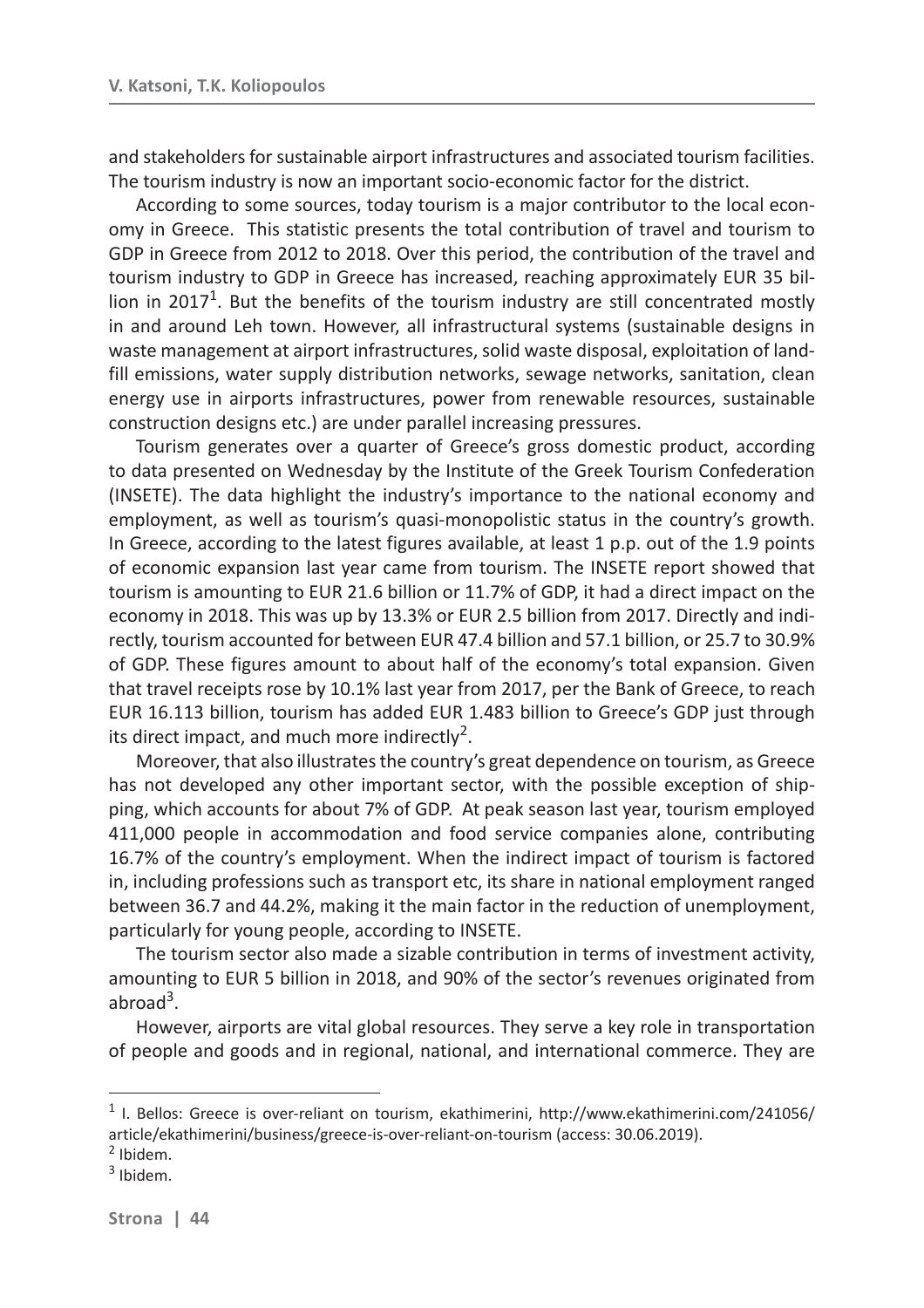and stakeholders for sustainable airport infrastructures and associated tourism facilities. The tourism industry is now an important socio-economic factor for the district.

According to some sources, today tourism is a major contributor to the local economy in Greece. This statistic presents the total contribution of travel and tourism to GDP in Greece from 2012 to 2018. Over this period, the contribution of the travel and tourism industry to GDP in Greece has increased, reaching approximately EUR 35 billion in 2017<sup>1</sup>. But the benefits of the tourism industry are still concentrated mostly in and around Leh town. However, all infrastructural systems (sustainable designs in waste management at airport infrastructures, solid waste disposal, exploitation of landfill emissions, water supply distribution networks, sewage networks, sanitation, clean energy use in airports infrastructures, power from renewable resources, sustainable construction designs etc.) are under parallel increasing pressures.

Tourism generates over a quarter of Greece's gross domestic product, according to data presented on Wednesday by the Institute of the Greek Tourism Confederation (INSETE). The data highlight the industry's importance to the national economy and employment, as well as tourism's quasi-monopolistic status in the country's growth. In Greece, according to the latest figures available, at least 1 p.p. out of the 1.9 points of economic expansion last year came from tourism. The INSETE report showed that tourism is amounting to EUR 21.6 billion or 11.7% of GDP, it had a direct impact on the economy in 2018. This was up by 13.3% or EUR 2.5 billion from 2017. Directly and indirectly, tourism accounted for between EUR 47.4 billion and 57.1 billion, or 25.7 to 30.9% of GDP. These figures amount to about half of the economy's total expansion. Given that travel receipts rose by 10.1% last year from 2017, per the Bank of Greece, to reach EUR 16.113 billion, tourism has added EUR 1.483 billion to Greece's GDP just through its direct impact, and much more indirectly<sup>2</sup>.

Moreover, that also illustrates the country's great dependence on tourism, as Greece has not developed any other important sector, with the possible exception of shipping, which accounts for about 7% of GDP. At peak season last year, tourism employed 411,000 people in accommodation and food service companies alone, contributing 16.7% of the country's employment. When the indirect impact of tourism is factored in, including professions such as transport etc, its share in national employment ranged between 36.7 and 44.2%, making it the main factor in the reduction of unemployment, particularly for young people, according to INSETE.

The tourism sector also made a sizable contribution in terms of investment activity, amounting to EUR 5 billion in 2018, and 90% of the sector's revenues originated from  $abroad<sup>3</sup>$ .

However, airports are vital global resources. They serve a key role in transportation of people and goods and in regional, national, and international commerce. They are

<sup>&</sup>lt;sup>1</sup> I. Bellos: Greece is over-reliant on tourism, ekathimerini, http://www.ekathimerini.com/241056/ article/ekathimerini/business/greece-is-over-reliant-on-tourism (access: 30.06.2019).

<sup>&</sup>lt;sup>2</sup> Ibidem.

<sup>&</sup>lt;sup>3</sup> Ibidem.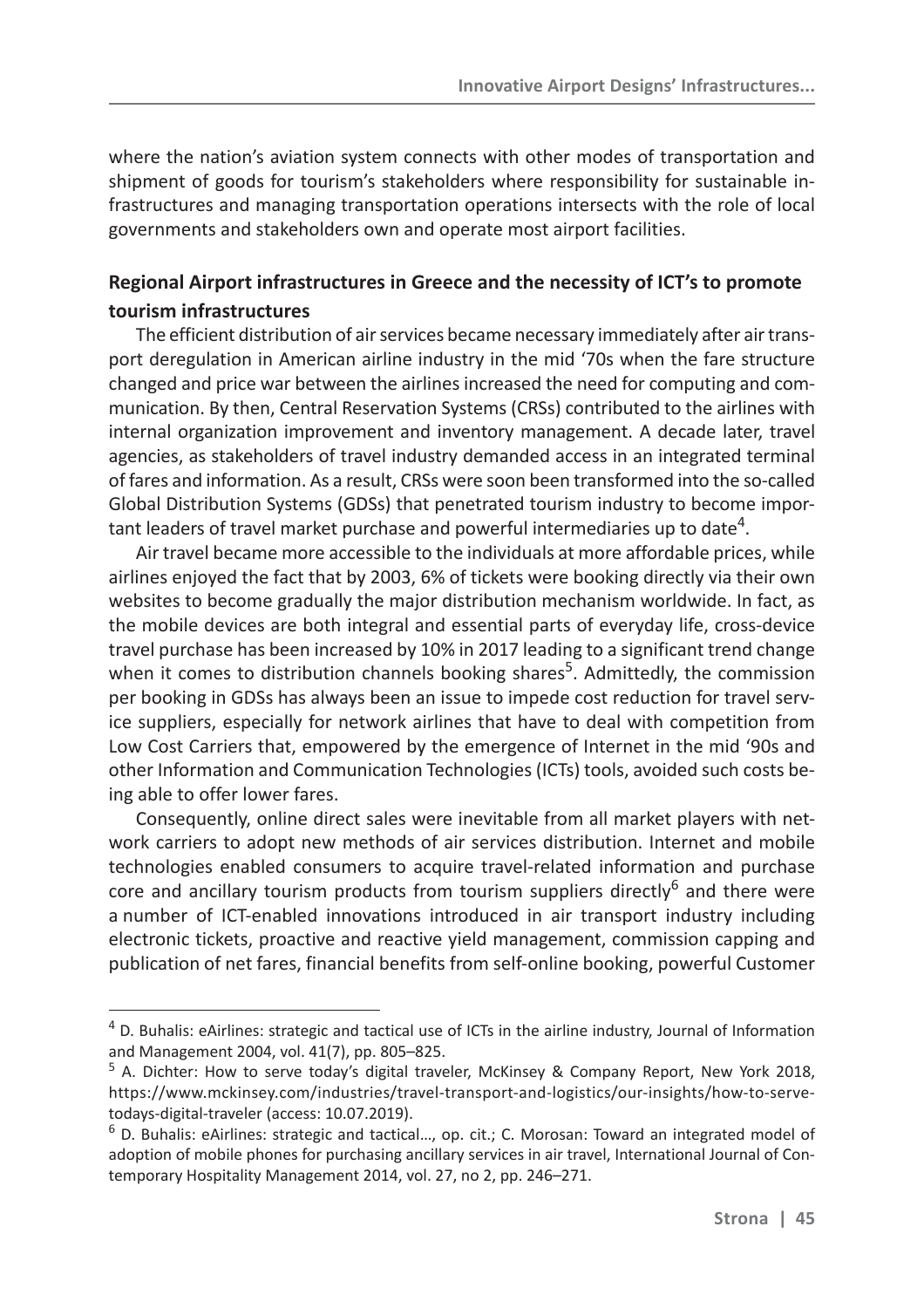where the nation's aviation system connects with other modes of transportation and shipment of goods for tourism's stakeholders where responsibility for sustainable infrastructures and managing transportation operations intersects with the role of local governments and stakeholders own and operate most airport facilities.

## **Regional Airport infrastructures in Greece and the necessity of ICT's to promote tourism infrastructures**

The efficient distribution of air services became necessary immediately after air transport deregulation in American airline industry in the mid '70s when the fare structure changed and price war between the airlines increased the need for computing and communication. By then, Central Reservation Systems (CRSs) contributed to the airlines with internal organization improvement and inventory management. A decade later, travel agencies, as stakeholders of travel industry demanded access in an integrated terminal of fares and information. As a result, CRSs were soon been transformed into the so-called Global Distribution Systems (GDSs) that penetrated tourism industry to become important leaders of travel market purchase and powerful intermediaries up to date<sup>4</sup>.

Air travel became more accessible to the individuals at more affordable prices, while airlines enjoyed the fact that by 2003, 6% of tickets were booking directly via their own websites to become gradually the major distribution mechanism worldwide. In fact, as the mobile devices are both integral and essential parts of everyday life, cross-device travel purchase has been increased by 10% in 2017 leading to a significant trend change when it comes to distribution channels booking shares<sup>5</sup>. Admittedly, the commission per booking in GDSs has always been an issue to impede cost reduction for travel service suppliers, especially for network airlines that have to deal with competition from Low Cost Carriers that, empowered by the emergence of Internet in the mid '90s and other Information and Communication Technologies (ICTs) tools, avoided such costs being able to offer lower fares.

Consequently, online direct sales were inevitable from all market players with network carriers to adopt new methods of air services distribution. Internet and mobile technologies enabled consumers to acquire travel-related information and purchase core and ancillary tourism products from tourism suppliers directly $<sup>6</sup>$  and there were</sup> a number of ICT-enabled innovations introduced in air transport industry including electronic tickets, proactive and reactive yield management, commission capping and publication of net fares, financial benefits from self-online booking, powerful Customer

<sup>&</sup>lt;sup>4</sup> D. Buhalis: eAirlines: strategic and tactical use of ICTs in the airline industry, Journal of Information and Management 2004, vol. 41(7), pp. 805–825.

<sup>&</sup>lt;sup>5</sup> A. Dichter: How to serve today's digital traveler, McKinsey & Company Report, New York 2018, https://www.mckinsey.com/industries/travel-transport-and-logistics/our-insights/how-to-servetodays-digital-traveler (access: 10.07.2019).

<sup>&</sup>lt;sup>6</sup> D. Buhalis: eAirlines: strategic and tactical..., op. cit.; C. Morosan: Toward an integrated model of adoption of mobile phones for purchasing ancillary services in air travel, International Journal of Contemporary Hospitality Management 2014, vol. 27, no 2, pp. 246–271.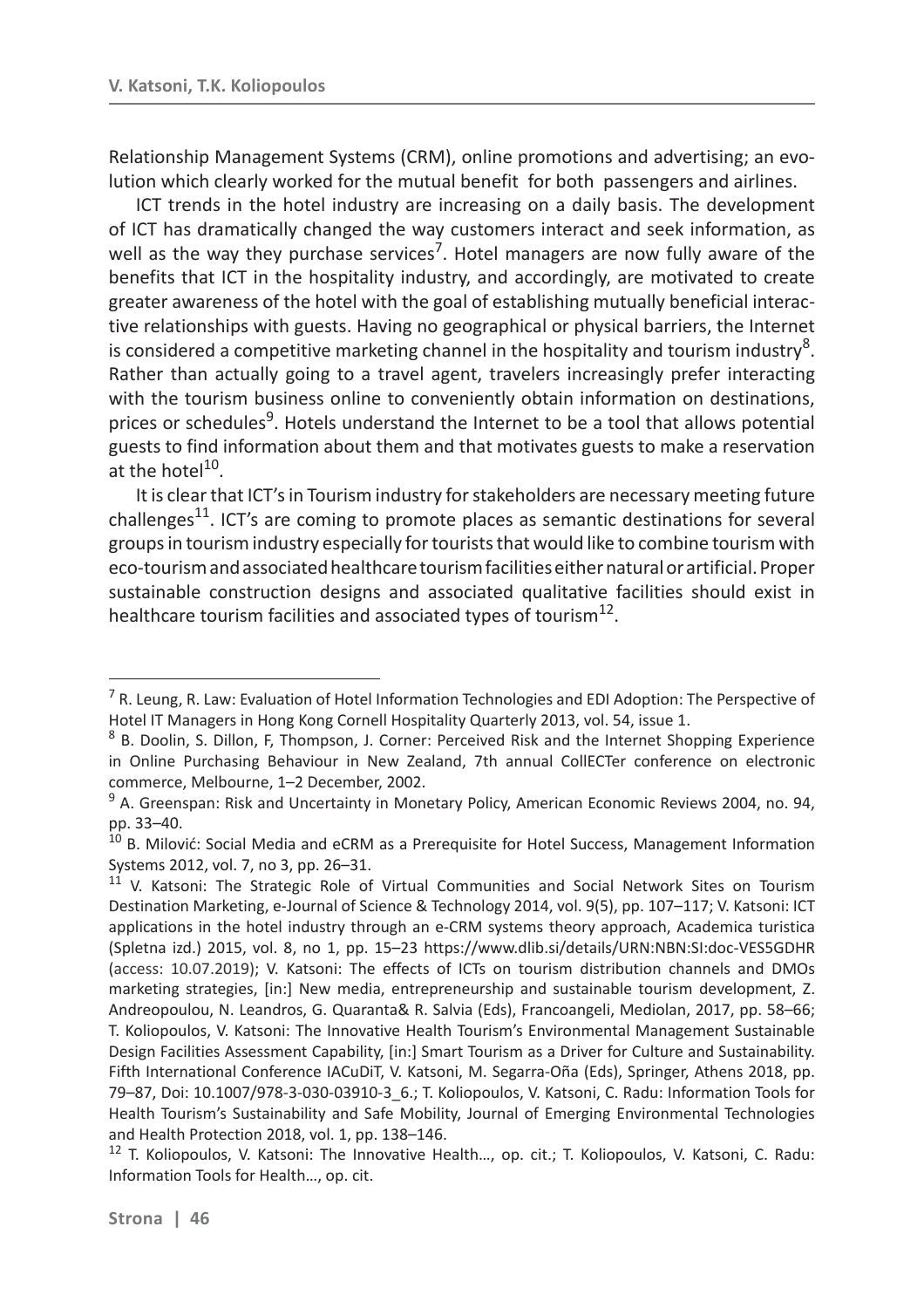Relationship Management Systems (CRM), online promotions and advertising; an evolution which clearly worked for the mutual benefit for both passengers and airlines.

ICT trends in the hotel industry are increasing on a daily basis. The development of ICT has dramatically changed the way customers interact and seek information, as well as the way they purchase services<sup>7</sup>. Hotel managers are now fully aware of the benefits that ICT in the hospitality industry, and accordingly, are motivated to create greater awareness of the hotel with the goal of establishing mutually beneficial interactive relationships with guests. Having no geographical or physical barriers, the Internet is considered a competitive marketing channel in the hospitality and tourism industry<sup>8</sup>. Rather than actually going to a travel agent, travelers increasingly prefer interacting with the tourism business online to conveniently obtain information on destinations, prices or schedules<sup>9</sup>. Hotels understand the Internet to be a tool that allows potential guests to find information about them and that motivates guests to make a reservation at the hotel $^{10}$ .

It is clear that ICT's in Tourism industry for stakeholders are necessary meeting future challenges<sup>11</sup>. ICT's are coming to promote places as semantic destinations for several groups in tourism industry especially for tourists that would like to combine tourism with eco-tourism and associated healthcare tourism facilities either natural or artificial. Proper sustainable construction designs and associated qualitative facilities should exist in healthcare tourism facilities and associated types of tourism $^{12}$ .

<sup>&</sup>lt;sup>7</sup> R. Leung, R. Law: Evaluation of Hotel Information Technologies and EDI Adoption: The Perspective of Hotel IT Managers in Hong Kong Cornell Hospitality Quarterly 2013, vol. 54, issue 1.

<sup>&</sup>lt;sup>8</sup> B. Doolin, S. Dillon, F, Thompson, J. Corner: Perceived Risk and the Internet Shopping Experience in Online Purchasing Behaviour in New Zealand, 7th annual CollECTer conference on electronic commerce, Melbourne, 1–2 December, 2002.

<sup>&</sup>lt;sup>9</sup> A. Greenspan: Risk and Uncertainty in Monetary Policy, American Economic Reviews 2004, no. 94, pp. 33–40.

 $10$  B. Milović: Social Media and eCRM as a Prerequisite for Hotel Success, Management Information Systems 2012, vol. 7, no 3, pp. 26–31.

<sup>&</sup>lt;sup>11</sup> V. Katsoni: The Strategic Role of Virtual Communities and Social Network Sites on Tourism Destination Marketing, e-Journal of Science & Technology 2014, vol. 9(5), pp. 107–117; V. Katsoni: ICT applications in the hotel industry through an e-CRM systems theory approach, Academica turistica (Spletna izd.) 2015, vol. 8, no 1, pp. 15–23 https://www.dlib.si/details/URN:NBN:SI:doc-VES5GDHR (access: 10.07.2019); V. Katsoni: The effects of ICTs on tourism distribution channels and DMOs marketing strategies, [in:] New media, entrepreneurship and sustainable tourism development, Z. Andreopoulou, N. Leandros, G. Quaranta& R. Salvia (Eds), Francoangeli, Mediolan, 2017, pp. 58–66; T. Koliopoulos, V. Katsoni: The Innovative Health Tourism's Environmental Management Sustainable Design Facilities Assessment Capability, [in:] Smart Tourism as a Driver for Culture and Sustainability. Fifth International Conference IACuDiT, V. Katsoni, M. Segarra-Oña (Eds), Springer, Athens 2018, pp. 79–87, Doi: 10.1007/978-3-030-03910-3\_6.; T. Koliopoulos, V. Katsoni, C. Radu: Information Tools for Health Tourism's Sustainability and Safe Mobility, Journal of Emerging Environmental Technologies and Health Protection 2018, vol. 1, pp. 138–146.

<sup>&</sup>lt;sup>12</sup> T. Koliopoulos, V. Katsoni: The Innovative Health..., op. cit.; T. Koliopoulos, V. Katsoni, C. Radu: Information Tools for Health…, op. cit.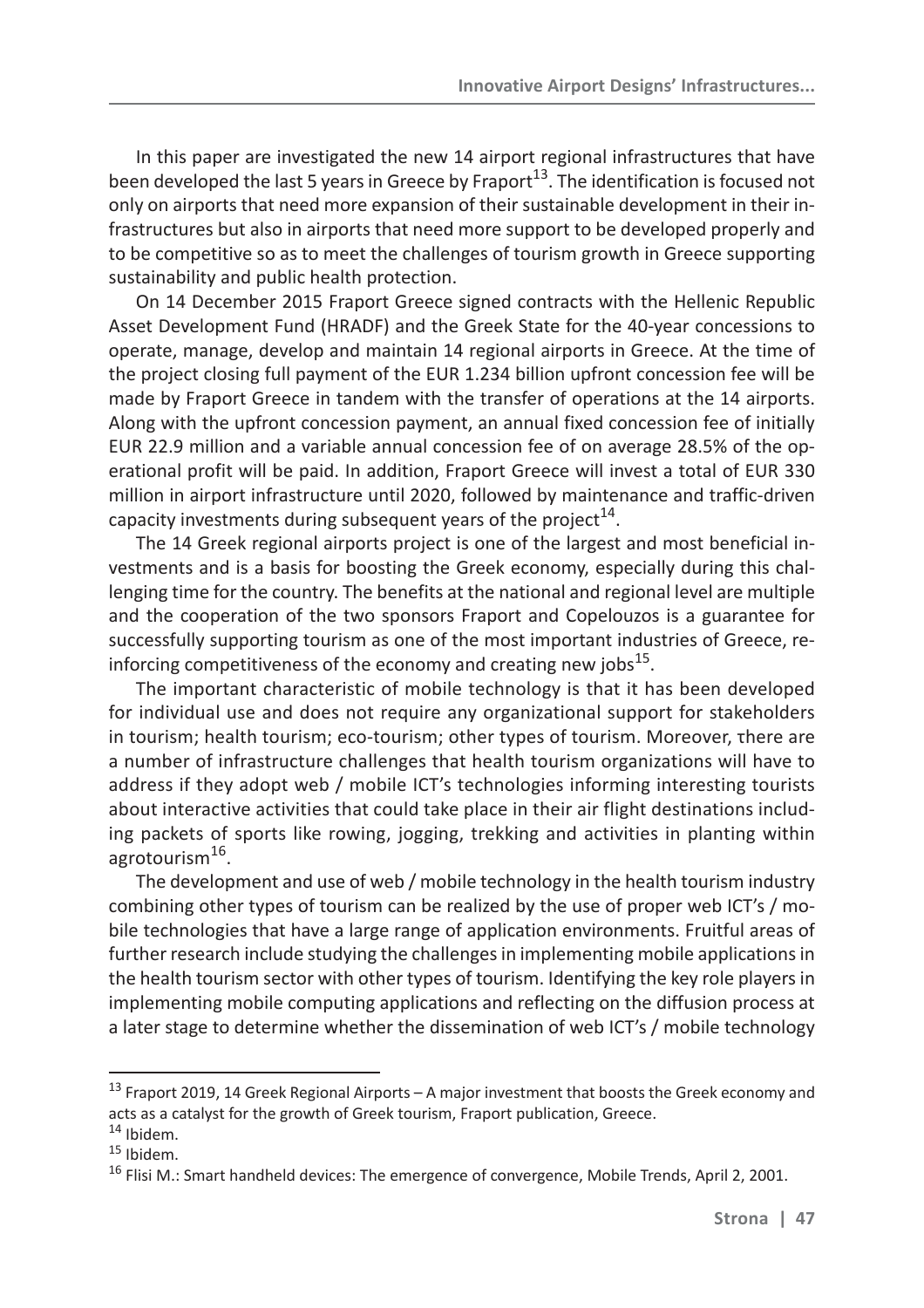In this paper are investigated the new 14 airport regional infrastructures that have been developed the last 5 years in Greece by Fraport<sup>13</sup>. The identification is focused not only on airports that need more expansion of their sustainable development in their infrastructures but also in airports that need more support to be developed properly and to be competitive so as to meet the challenges of tourism growth in Greece supporting sustainability and public health protection.

On 14 December 2015 Fraport Greece signed contracts with the Hellenic Republic Asset Development Fund (HRADF) and the Greek State for the 40-year concessions to operate, manage, develop and maintain 14 regional airports in Greece. At the time of the project closing full payment of the EUR 1.234 billion upfront concession fee will be made by Fraport Greece in tandem with the transfer of operations at the 14 airports. Along with the upfront concession payment, an annual fixed concession fee of initially EUR 22.9 million and a variable annual concession fee of on average 28.5% of the operational profit will be paid. In addition, Fraport Greece will invest a total of EUR 330 million in airport infrastructure until 2020, followed by maintenance and traffic-driven capacity investments during subsequent years of the project $^{14}$ .

The 14 Greek regional airports project is one of the largest and most beneficial investments and is a basis for boosting the Greek economy, especially during this challenging time for the country. The benefits at the national and regional level are multiple and the cooperation of the two sponsors Fraport and Copelouzos is a guarantee for successfully supporting tourism as one of the most important industries of Greece, reinforcing competitiveness of the economy and creating new jobs $^{15}$ .

The important characteristic of mobile technology is that it has been developed for individual use and does not require any organizational support for stakeholders in tourism; health tourism; eco-tourism; other types of tourism. Moreover, there are a number of infrastructure challenges that health tourism organizations will have to address if they adopt web / mobile ICT's technologies informing interesting tourists about interactive activities that could take place in their air flight destinations including packets of sports like rowing, jogging, trekking and activities in planting within agrotourism<sup>16</sup>.

The development and use of web / mobile technology in the health tourism industry combining other types of tourism can be realized by the use of proper web ICT's / mobile technologies that have a large range of application environments. Fruitful areas of further research include studying the challenges in implementing mobile applications in the health tourism sector with other types of tourism. Identifying the key role players in implementing mobile computing applications and reflecting on the diffusion process at a later stage to determine whether the dissemination of web ICT's / mobile technology

 $13$  Fraport 2019, 14 Greek Regional Airports – A major investment that boosts the Greek economy and acts as a catalyst for the growth of Greek tourism, Fraport publication, Greece.

 $14$  Ibidem.

 $15$  Ibidem.

<sup>&</sup>lt;sup>16</sup> Flisi M.: Smart handheld devices: The emergence of convergence, Mobile Trends, April 2, 2001.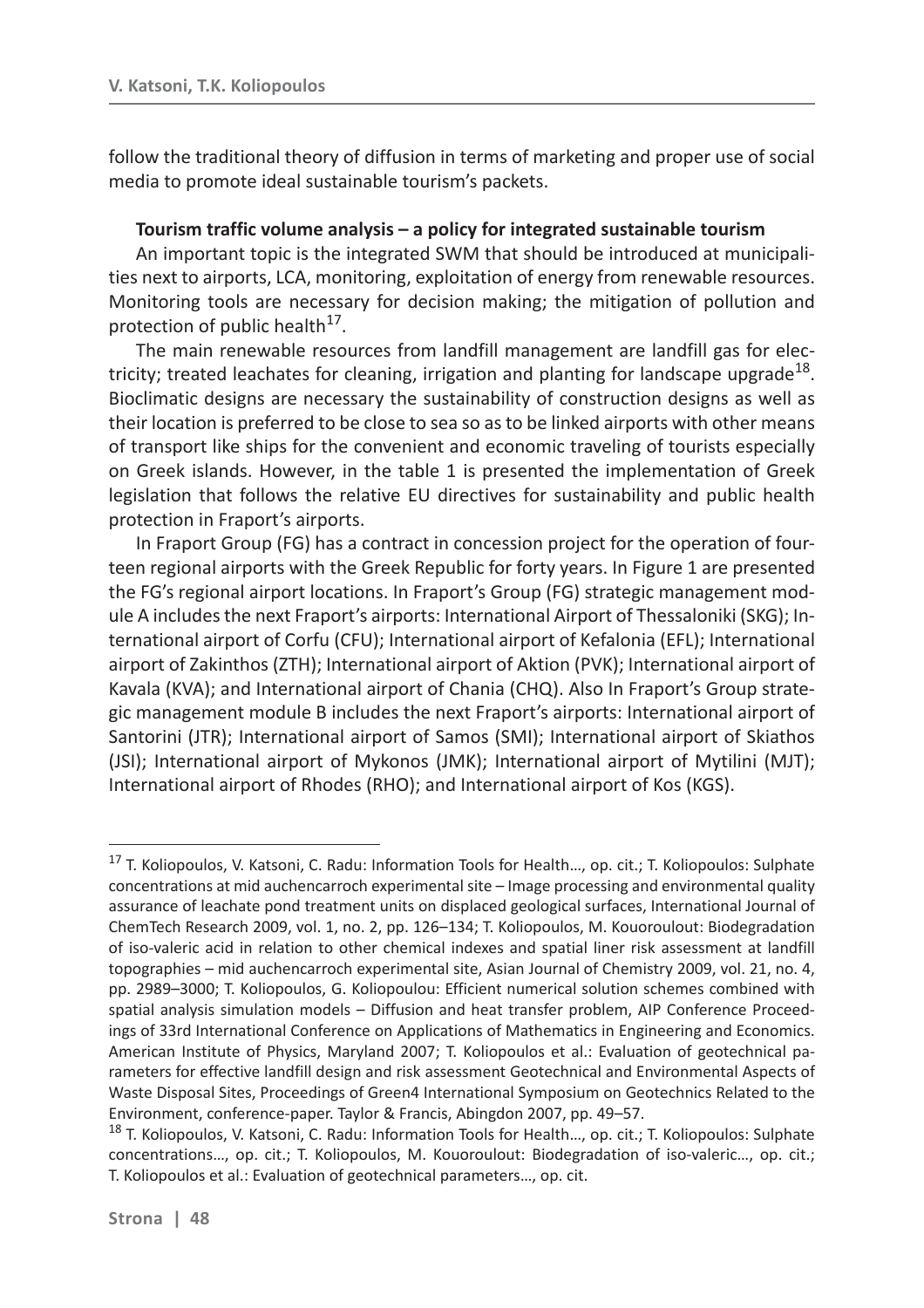follow the traditional theory of diffusion in terms of marketing and proper use of social media to promote ideal sustainable tourism's packets.

#### **Tourism traffic volume analysis – a policy for integrated sustainable tourism**

An important topic is the integrated SWM that should be introduced at municipalities next to airports, LCA, monitoring, exploitation of energy from renewable resources. Monitoring tools are necessary for decision making; the mitigation of pollution and protection of public health $^{17}$ .

The main renewable resources from landfill management are landfill gas for electricity; treated leachates for cleaning, irrigation and planting for landscape upgrade<sup>18</sup>. Bioclimatic designs are necessary the sustainability of construction designs as well as their location is preferred to be close to sea so as to be linked airports with other means of transport like ships for the convenient and economic traveling of tourists especially on Greek islands. However, in the table 1 is presented the implementation of Greek legislation that follows the relative EU directives for sustainability and public health protection in Fraport's airports.

In Fraport Group (FG) has a contract in concession project for the operation of fourteen regional airports with the Greek Republic for forty years. In Figure 1 are presented the FG's regional airport locations. In Fraport's Group (FG) strategic management module A includes the next Fraport's airports: International Airport of Thessaloniki (SKG); International airport of Corfu (CFU); International airport of Kefalonia (EFL); International airport of Zakinthos (ZTH); International airport of Aktion (PVK); International airport of Kavala (KVA); and International airport of Chania (CHQ). Also In Fraport's Group strategic management module B includes the next Fraport's airports: International airport of Santorini (JTR); International airport of Samos (SMI); International airport of Skiathos (JSI); International airport of Mykonos (JMK); International airport of Mytilini (MJT); International airport of Rhodes (RHO); and International airport of Kos (KGS).

<sup>&</sup>lt;sup>17</sup> T. Koliopoulos, V. Katsoni, C. Radu: Information Tools for Health..., op. cit.; T. Koliopoulos: Sulphate concentrations at mid auchencarroch experimental site – Image processing and environmental quality assurance of leachate pond treatment units on displaced geological surfaces, International Journal of ChemTech Research 2009, vol. 1, no. 2, pp. 126–134; T. Koliopoulos, M. Kouoroulout: Biodegradation of iso-valeric acid in relation to other chemical indexes and spatial liner risk assessment at landfill topographies – mid auchencarroch experimental site, Asian Journal of Chemistry 2009, vol. 21, no. 4, pp. 2989–3000; T. Koliopoulos, G. Koliopoulou: Efficient numerical solution schemes combined with spatial analysis simulation models – Diffusion and heat transfer problem, AIP Conference Proceedings of 33rd International Conference on Applications of Mathematics in Engineering and Economics. American Institute of Physics, Maryland 2007; T. Koliopoulos et al.: Evaluation of geotechnical parameters for effective landfill design and risk assessment Geotechnical and Environmental Aspects of Waste Disposal Sites, Proceedings of Green4 International Symposium on Geotechnics Related to the Environment, conference-paper. Taylor & Francis, Abingdon 2007, pp. 49–57.

<sup>&</sup>lt;sup>18</sup> T. Koliopoulos, V. Katsoni, C. Radu: Information Tools for Health..., op. cit.; T. Koliopoulos: Sulphate concentrations…, op. cit.; T. Koliopoulos, M. Kouoroulout: Biodegradation of iso-valeric…, op. cit.; T. Koliopoulos et al.: Evaluation of geotechnical parameters…, op. cit.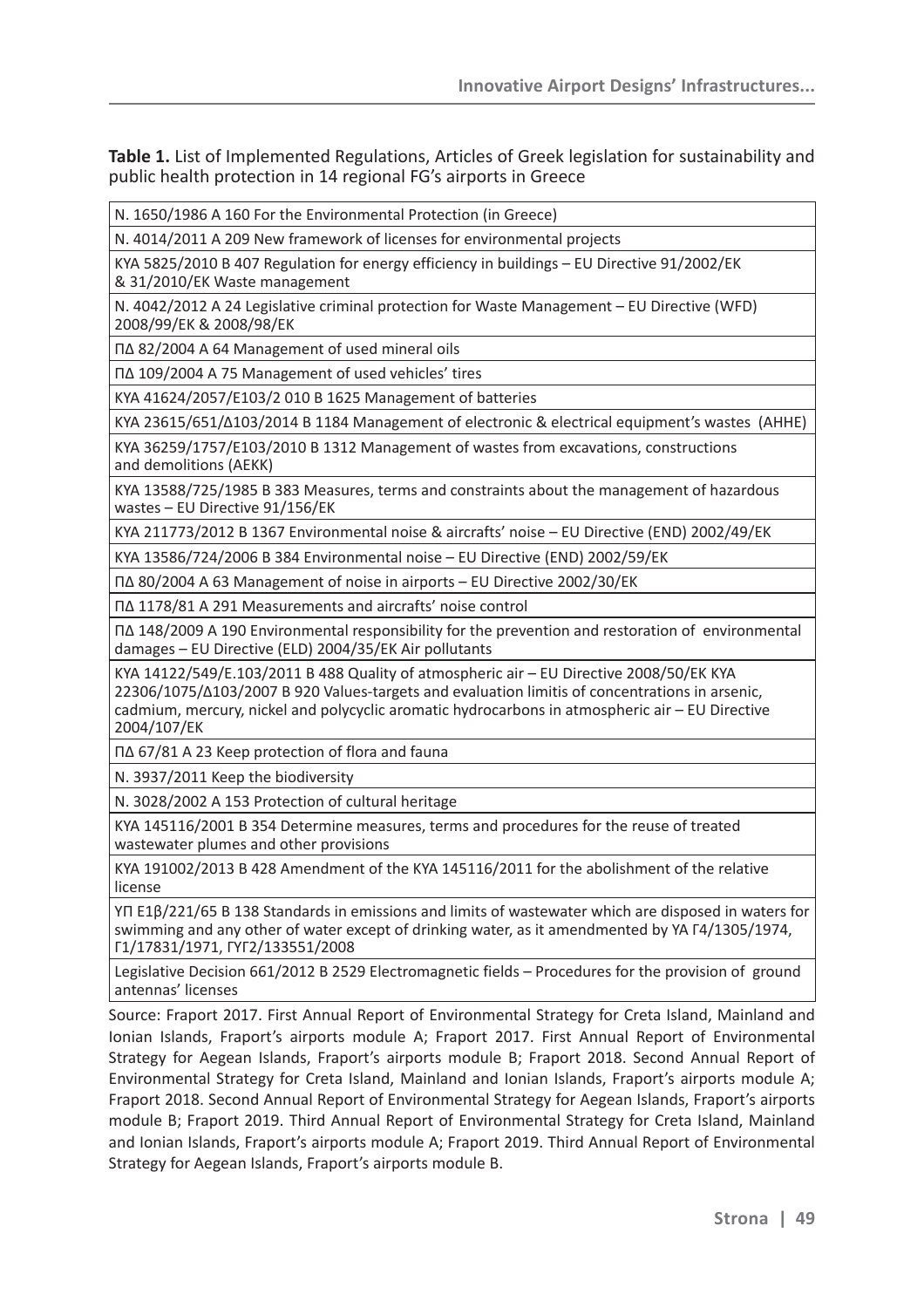**Table 1.** List of Implemented Regulations, Articles of Greek legislation for sustainability and public health protection in 14 regional FG's airports in Greece

Ɂ. 1650/1986 A 160 For the Environmental Protection (in Greece)

Ɂ. 4014/2011 A 209 New framework of licenses for environmental projects

KYA 5825/2010 B 407 Regulation for energy efficiency in buildings – EU Directive 91/2002/EK & 31/2010/ȵȾ Waste management

Ɂ. 4042/2012 A 24 Legislative criminal protection for Waste Management – EU Directive (WFD) 2008/99/ȵȾ & 2008/98/ȵȾ

 $\Pi$ ∆ 82/2004 A 64 Management of used mineral oils

Ʌȴ 109/2004 A 75 Management of used vehicles' tires

KYA 41624/2057/E103/2 010 B 1625 Management of batteries

KYA 23615/651/ $\triangle$ 103/2014 B 1184 Management of electronic & electrical equipment's wastes (AHHE)

KYA 36259/1757/E103/2010 B 1312 Management of wastes from excavations, constructions and demolitions (AEKK)

KYA 13588/725/1985 B 383 Measures, terms and constraints about the management of hazardous wastes – EU Directive 91/156/EK

KYA 211773/2012 B 1367 Environmental noise & aircrafts' noise - EU Directive (END) 2002/49/EK

KYA 13586/724/2006 B 384 Environmental noise – EU Directive (END) 2002/59/EK

 $\Pi$ ∆ 80/2004 A 63 Management of noise in airports – EU Directive 2002/30/EK

Ʌȴ 1178/81 A 291 Measurements and aircrafts' noise control

 $\Pi$ ∆ 148/2009 A 190 Environmental responsibility for the prevention and restoration of environmental damages – EU Directive (ELD) 2004/35/EK Air pollutants

KYA 14122/549/E.103/2011 B 488 Quality of atmospheric air – EU Directive 2008/50/EK KYA 22306/1075/Δ103/2007 Β 920 Values-targets and evaluation limitis of concentrations in arsenic, cadmium, mercury, nickel and polycyclic aromatic hydrocarbons in atmospheric air – EU Directive 2004/107/ȵȾ

Ʌȴ 67/81 A 23 Keep protection of flora and fauna

Ɂ. 3937/2011 Keep the biodiversity

N. 3028/2002 A 153 Protection of cultural heritage

KYA 145116/2001 B 354 Determine measures, terms and procedures for the reuse of treated wastewater plumes and other provisions

KYA 191002/2013 B 428 Amendment of the KYA 145116/2011 for the abolishment of the relative license

YI E1B/221/65 B 138 Standards in emissions and limits of wastewater which are disposed in waters for swimming and any other of water except of drinking water, as it amendmented by YA  $\lceil 4/1305/1974, \rceil$ ȳ1/17831/1971, ȳɉȳ2/133551/2008

Legislative Decision 661/2012 B 2529 Electromagnetic fields – Procedures for the provision of ground antennas' licenses

Source: Fraport 2017. First Annual Report of Environmental Strategy for Creta Island, Mainland and Ionian Islands, Fraport's airports module A; Fraport 2017. First Annual Report of Environmental Strategy for Aegean Islands, Fraport's airports module B; Fraport 2018. Second Annual Report of Environmental Strategy for Creta Island, Mainland and Ionian Islands, Fraport's airports module A; Fraport 2018. Second Annual Report of Environmental Strategy for Aegean Islands, Fraport's airports module B; Fraport 2019. Third Annual Report of Environmental Strategy for Creta Island, Mainland and Ionian Islands, Fraport's airports module A; Fraport 2019. Third Annual Report of Environmental Strategy for Aegean Islands, Fraport's airports module B.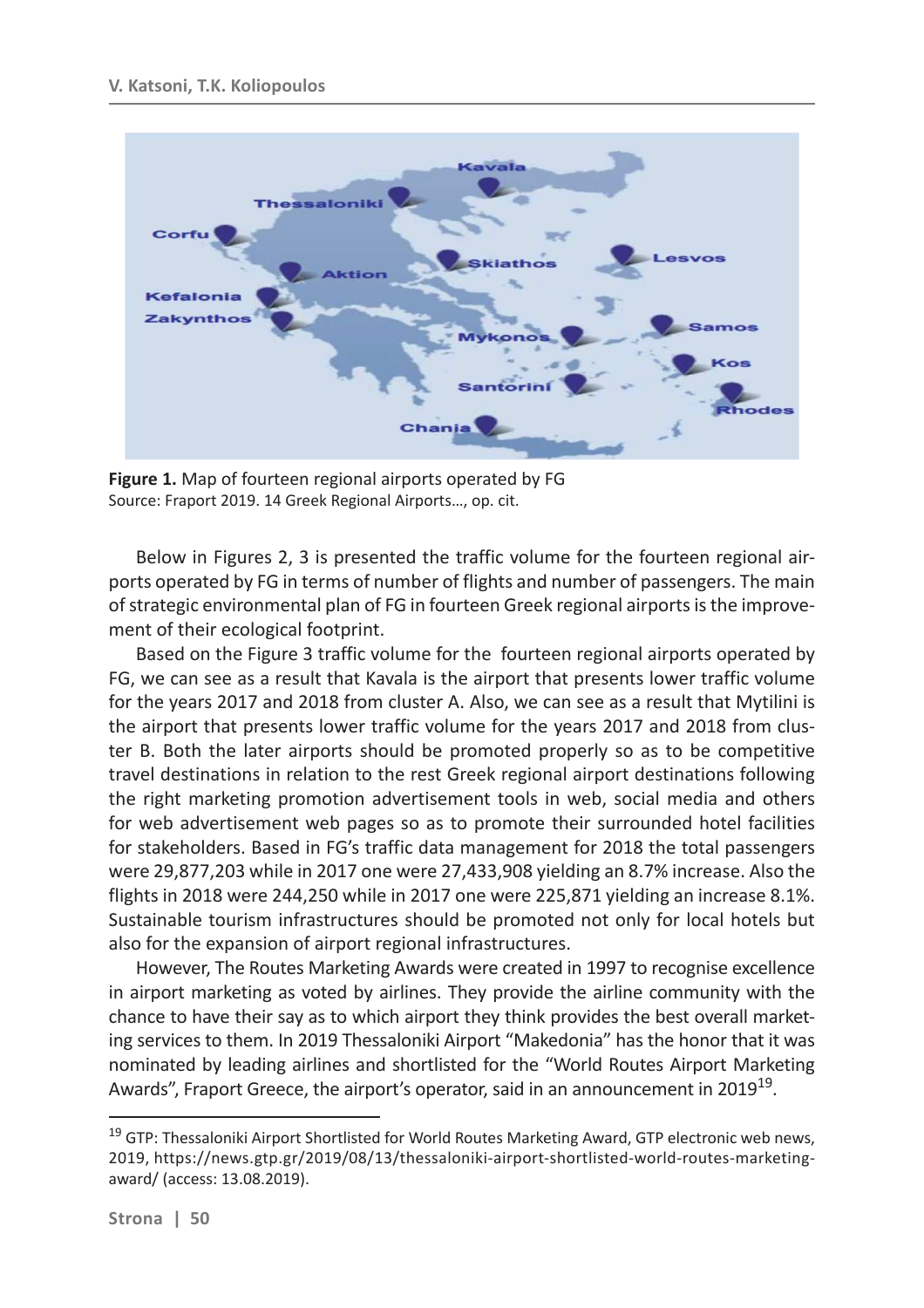

**Figure 1.** Map of fourteen regional airports operated by FG Source: Fraport 2019. 14 Greek Regional Airports…, op. cit.

Below in Figures 2, 3 is presented the traffic volume for the fourteen regional airports operated by FG in terms of number of flights and number of passengers. The main of strategic environmental plan of FG in fourteen Greek regional airports is the improvement of their ecological footprint.

Based on the Figure 3 traffic volume for the fourteen regional airports operated by FG, we can see as a result that Kavala is the airport that presents lower traffic volume for the years 2017 and 2018 from cluster A. Also, we can see as a result that Mytilini is the airport that presents lower traffic volume for the years 2017 and 2018 from cluster B. Both the later airports should be promoted properly so as to be competitive travel destinations in relation to the rest Greek regional airport destinations following the right marketing promotion advertisement tools in web, social media and others for web advertisement web pages so as to promote their surrounded hotel facilities for stakeholders. Based in FG's traffic data management for 2018 the total passengers were 29,877,203 while in 2017 one were 27,433,908 yielding an 8.7% increase. Also the flights in 2018 were 244,250 while in 2017 one were 225,871 yielding an increase 8.1%. Sustainable tourism infrastructures should be promoted not only for local hotels but also for the expansion of airport regional infrastructures.

However, The Routes Marketing Awards were created in 1997 to recognise excellence in airport marketing as voted by airlines. They provide the airline community with the chance to have their say as to which airport they think provides the best overall marketing services to them. In 2019 Thessaloniki Airport "Makedonia" has the honor that it was nominated by leading airlines and shortlisted for the "World Routes Airport Marketing Awards", Fraport Greece, the airport's operator, said in an announcement in 2019<sup>19</sup>.

<sup>&</sup>lt;sup>19</sup> GTP: Thessaloniki Airport Shortlisted for World Routes Marketing Award, GTP electronic web news, 2019, https://news.gtp.gr/2019/08/13/thessaloniki-airport-shortlisted-world-routes-marketingaward/ (access: 13.08.2019).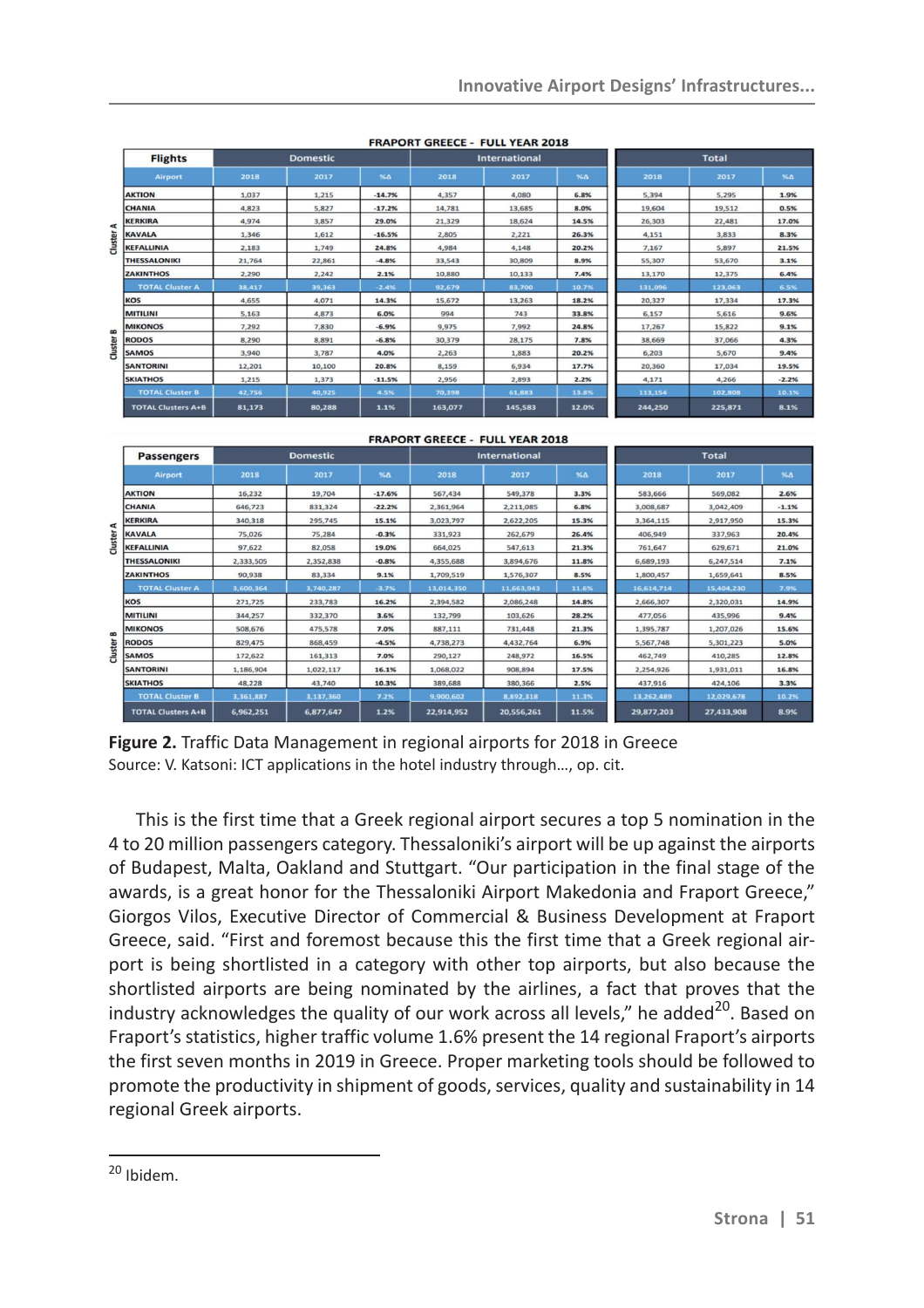|         | <b>Flights</b>            | <b>Domestic</b> |        |          | <b>International</b> |         |            | <b>Total</b> |         |            |
|---------|---------------------------|-----------------|--------|----------|----------------------|---------|------------|--------------|---------|------------|
|         | Airport                   | 2018            | 2017   | %Δ       | 2018                 | 2017    | $96\Delta$ | 2018         | 2017    | $96\Delta$ |
|         | <b>AKTION</b>             | 1.037           | 1,215  | $-14.7%$ | 4,357                | 4,080   | 6.8%       | 5,394        | 5,295   | 1.9%       |
|         | <b>CHANIA</b>             | 4,823           | 5,827  | $-17.2%$ | 14,781               | 13,685  | 8.0%       | 19,604       | 19,512  | 0.5%       |
| ⊄       | <b>KERKIRA</b>            | 4,974           | 3,857  | 29.0%    | 21,329               | 18,624  | 14.5%      | 26,303       | 22,481  | 17.0%      |
|         | <b>KAVALA</b>             | 1,346           | 1,612  | $-16.5%$ | 2,805                | 2,221   | 26.3%      | 4,151        | 3,833   | 8.3%       |
| Cluster | <b>KEFALLINIA</b>         | 2,183           | 1,749  | 24.8%    | 4,984                | 4,148   | 20.2%      | 7,167        | 5,897   | 21.5%      |
|         | <b>THESSALONIKI</b>       | 21,764          | 22,861 | $-4.8%$  | 33,543               | 30,809  | 8.9%       | 55,307       | 53,670  | 3.1%       |
|         | <b>ZAKINTHOS</b>          | 2,290           | 2,242  | 2.1%     | 10,880               | 10,133  | 7.4%       | 13,170       | 12,375  | 6.4%       |
|         | <b>TOTAL Cluster A</b>    | 38,417          | 39,363 | $-2.4%$  | 92,679               | 83,700  | 10.7%      | 131,096      | 123,063 | 6.5%       |
|         | <b>KOS</b>                | 4,655           | 4,071  | 14.3%    | 15,672               | 13,263  | 18.2%      | 20,327       | 17,334  | 17.3%      |
|         | <b>MITILINI</b>           | 5,163           | 4,873  | 6.0%     | 994                  | 743     | 33.8%      | 6,157        | 5,616   | 9.6%       |
| B       | <b>MIKONOS</b>            | 7,292           | 7,830  | $-6.9%$  | 9,975                | 7,992   | 24.8%      | 17,267       | 15,822  | 9.1%       |
|         | <b>RODOS</b>              | 8,290           | 8,891  | $-6.8%$  | 30,379               | 28,175  | 7.8%       | 38,669       | 37,066  | 4.3%       |
| Cluster | <b>SAMOS</b>              | 3,940           | 3,787  | 4.0%     | 2,263                | 1,883   | 20.2%      | 6,203        | 5,670   | 9.4%       |
|         | <b>SANTORINI</b>          | 12,201          | 10,100 | 20.8%    | 8,159                | 6,934   | 17.7%      | 20,360       | 17,034  | 19.5%      |
|         | <b>SKIATHOS</b>           | 1,215           | 1,373  | $-11.5%$ | 2,956                | 2,893   | 2.2%       | 4,171        | 4,266   | $-2.2%$    |
|         | <b>TOTAL Cluster B</b>    | 42,756          | 40,925 | 4.5%     | 70,398               | 61,883  | 13.8%      | 113,154      | 102,808 | 10.1%      |
|         | <b>TOTAL Clusters A+B</b> | 81,173          | 80,288 | 1.1%     | 163,077              | 145,583 | 12.0%      | 244,250      | 225,871 | 8.1%       |

**FRAPORT GREECE - FULL YEAR 2018** 

|                     |                           |                 |           |            | <b>FRAPORT GREECE - FULL YEAR 2018</b> |            |            |              |            |            |
|---------------------|---------------------------|-----------------|-----------|------------|----------------------------------------|------------|------------|--------------|------------|------------|
| <b>Passengers</b>   |                           | <b>Domestic</b> |           |            | <b>International</b>                   |            |            | <b>Total</b> |            |            |
|                     | <b>Airport</b>            | 2018            | 2017      | $96\Delta$ | 2018                                   | 2017       | $96\Delta$ | 2018         | 2017       | $96\Delta$ |
|                     | <b>AKTION</b>             | 16,232          | 19,704    | $-17.6%$   | 567,434                                | 549,378    | 3.3%       | 583,666      | 569,082    | 2.6%       |
| ⋖<br><b>Cluster</b> | <b>CHANIA</b>             | 646,723         | 831,324   | $-22.2%$   | 2,361,964                              | 2,211,085  | 6.8%       | 3,008,687    | 3,042,409  | $-1.1%$    |
|                     | <b>KERKIRA</b>            | 340,318         | 295.745   | 15.1%      | 3,023,797                              | 2,622,205  | 15.3%      | 3,364,115    | 2,917,950  | 15.3%      |
|                     | <b>KAVALA</b>             | 75,026          | 75,284    | $-0.3%$    | 331,923                                | 262,679    | 26.4%      | 406,949      | 337,963    | 20.4%      |
|                     | <b>KEFALLINIA</b>         | 97,622          | 82,058    | 19.0%      | 664,025                                | 547,613    | 21.3%      | 761,647      | 629,671    | 21.0%      |
|                     | <b>THESSALONIKI</b>       | 2,333,505       | 2,352,838 | $-0.8%$    | 4,355,688                              | 3,894,676  | 11.8%      | 6,689,193    | 6,247,514  | 7.1%       |
|                     | <b>ZAKINTHOS</b>          | 90,938          | 83,334    | 9.1%       | 1,709,519                              | 1,576,307  | 8.5%       | 1,800,457    | 1,659,641  | 8.5%       |
|                     | <b>TOTAL Cluster A</b>    | 3,600,364       | 3,740,287 | $-3.7%$    | 13,014,350                             | 11,663,943 | 11.6%      | 16,614,714   | 15,404,230 | 7.9%       |
|                     | <b>KOS</b>                | 271,725         | 233,783   | 16.2%      | 2,394,582                              | 2,086,248  | 14.8%      | 2,666,307    | 2,320,031  | 14.9%      |
|                     | <b>MITILINI</b>           | 344,257         | 332,370   | 3.6%       | 132,799                                | 103,626    | 28.2%      | 477,056      | 435,996    | 9.4%       |
| B                   | <b>MIKONOS</b>            | 508,676         | 475,578   | 7.0%       | 887,111                                | 731,448    | 21.3%      | 1,395,787    | 1,207,026  | 15.6%      |
|                     | <b>RODOS</b>              | 829,475         | 868,459   | $-4.5%$    | 4,738,273                              | 4,432,764  | 6.9%       | 5,567,748    | 5,301,223  | 5.0%       |
| Cluster             | <b>SAMOS</b>              | 172,622         | 161,313   | 7.0%       | 290,127                                | 248,972    | 16.5%      | 462,749      | 410,285    | 12.8%      |
|                     | <b>SANTORINI</b>          | 1,186,904       | 1,022,117 | 16.1%      | 1,068,022                              | 908,894    | 17.5%      | 2,254,926    | 1,931,011  | 16.8%      |
|                     | <b>SKIATHOS</b>           | 48,228          | 43,740    | 10.3%      | 389,688                                | 380,366    | 2.5%       | 437,916      | 424,106    | 3.3%       |
|                     | <b>TOTAL Cluster B</b>    | 3,361,887       | 3,137,360 | 7.2%       | 9,900,602                              | 8,892,318  | 11.3%      | 13,262,489   | 12,029,678 | 10.2%      |
|                     | <b>TOTAL Clusters A+B</b> | 6,962,251       | 6,877,647 | 1.2%       | 22,914,952                             | 20,556,261 | 11.5%      | 29,877,203   | 27,433,908 | 8.9%       |

**Figure 2.** Traffic Data Management in regional airports for 2018 in Greece Source: V. Katsoni: ICT applications in the hotel industry through…, op. cit.

This is the first time that a Greek regional airport secures a top 5 nomination in the 4 to 20 million passengers category. Thessaloniki's airport will be up against the airports of Budapest, Malta, Oakland and Stuttgart. "Our participation in the final stage of the awards, is a great honor for the Thessaloniki Airport Makedonia and Fraport Greece," Giorgos Vilos, Executive Director of Commercial & Business Development at Fraport Greece, said. "First and foremost because this the first time that a Greek regional airport is being shortlisted in a category with other top airports, but also because the shortlisted airports are being nominated by the airlines, a fact that proves that the industry acknowledges the quality of our work across all levels," he added<sup>20</sup>. Based on Fraport's statistics, higher traffic volume 1.6% present the 14 regional Fraport's airports the first seven months in 2019 in Greece. Proper marketing tools should be followed to promote the productivity in shipment of goods, services, quality and sustainability in 14 regional Greek airports.

<sup>20</sup> Ibidem.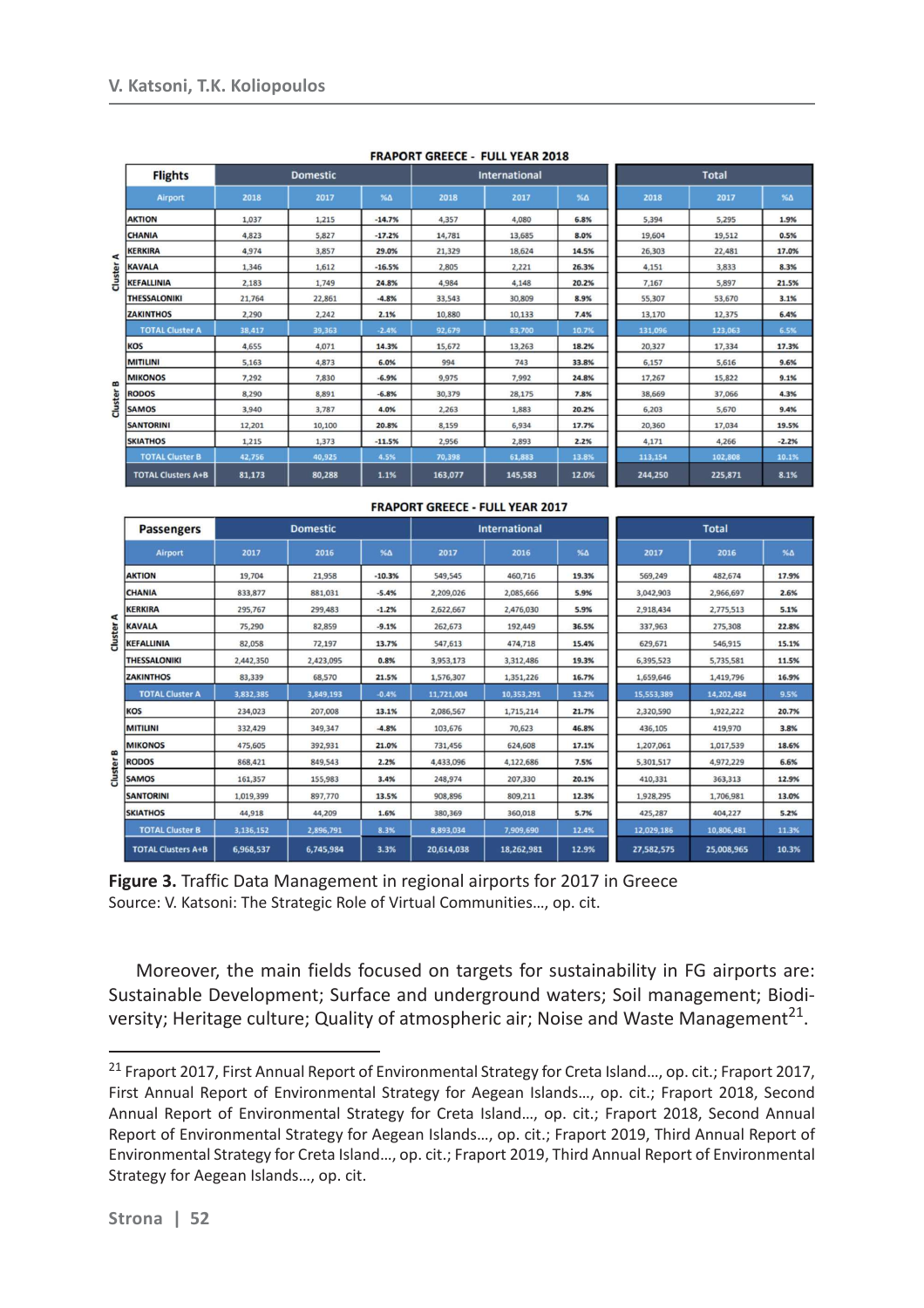|          | <b>Flights</b>            | <b>Domestic</b> |        |          | <b>International</b> |         |            | <b>Total</b> |         |            |
|----------|---------------------------|-----------------|--------|----------|----------------------|---------|------------|--------------|---------|------------|
|          | Airport                   | 2018            | 2017   | %Δ       | 2018                 | 2017    | $% \Delta$ | 2018         | 2017    | $% \Delta$ |
|          | <b>AKTION</b>             | 1,037           | 1,215  | $-14.7%$ | 4,357                | 4,080   | 6.8%       | 5,394        | 5,295   | 1.9%       |
|          | <b>CHANIA</b>             | 4,823           | 5,827  | $-17.2%$ | 14,781               | 13,685  | 8.0%       | 19,604       | 19,512  | 0.5%       |
| ⋖        | <b>KERKIRA</b>            | 4,974           | 3,857  | 29.0%    | 21,329               | 18,624  | 14.5%      | 26,303       | 22,481  | 17.0%      |
|          | <b>KAVALA</b>             | 1,346           | 1,612  | $-16.5%$ | 2,805                | 2,221   | 26.3%      | 4,151        | 3,833   | 8.3%       |
| Cluster  | <b>KEFALLINIA</b>         | 2,183           | 1,749  | 24.8%    | 4,984                | 4,148   | 20.2%      | 7,167        | 5,897   | 21.5%      |
|          | <b>THESSALONIKI</b>       | 21,764          | 22,861 | $-4.8%$  | 33,543               | 30,809  | 8.9%       | 55,307       | 53,670  | 3.1%       |
|          | <b>ZAKINTHOS</b>          | 2,290           | 2,242  | 2.1%     | 10,880               | 10,133  | 7.4%       | 13,170       | 12,375  | 6.4%       |
|          | <b>TOTAL Cluster A</b>    | 38,417          | 39,363 | $-2.4%$  | 92,679               | 83,700  | 10.7%      | 131,096      | 123,063 | 6.5%       |
|          | KOS                       | 4,655           | 4,071  | 14.3%    | 15,672               | 13,263  | 18.2%      | 20,327       | 17,334  | 17.3%      |
|          | <b>MITILINI</b>           | 5,163           | 4,873  | 6.0%     | 994                  | 743     | 33.8%      | 6,157        | 5,616   | 9.6%       |
| $\bf{e}$ | <b>MIKONOS</b>            | 7,292           | 7,830  | $-6.9%$  | 9,975                | 7,992   | 24.8%      | 17,267       | 15,822  | 9.1%       |
|          | <b>RODOS</b>              | 8,290           | 8,891  | $-6.8%$  | 30,379               | 28,175  | 7.8%       | 38,669       | 37,066  | 4.3%       |
| Cluster  | <b>SAMOS</b>              | 3,940           | 3,787  | 4.0%     | 2,263                | 1,883   | 20.2%      | 6,203        | 5,670   | 9.4%       |
|          | <b>SANTORINI</b>          | 12,201          | 10,100 | 20.8%    | 8,159                | 6,934   | 17.7%      | 20,360       | 17,034  | 19.5%      |
|          | <b>SKIATHOS</b>           | 1,215           | 1,373  | $-11.5%$ | 2,956                | 2,893   | 2.2%       | 4,171        | 4,266   | $-2.2%$    |
|          | <b>TOTAL Cluster B</b>    | 42,756          | 40,925 | 4.5%     | 70,398               | 61,883  | 13.8%      | 113,154      | 102,808 | 10.1%      |
|          | <b>TOTAL Clusters A+B</b> | 81,173          | 80,288 | 1.1%     | 163,077              | 145,583 | 12.0%      | 244,250      | 225,871 | 8.1%       |

#### **FRAPORT GREECE - FULL YEAR 2018**

|              |                           | <b>FRAPORT GREECE - FULL YEAR 2017</b> |           |            |                      |            |            |              |            |            |  |
|--------------|---------------------------|----------------------------------------|-----------|------------|----------------------|------------|------------|--------------|------------|------------|--|
|              | <b>Passengers</b>         | <b>Domestic</b>                        |           |            | <b>International</b> |            |            | <b>Total</b> |            |            |  |
|              | Airport                   | 2017                                   | 2016      | $% \Delta$ | 2017                 | 2016       | $% \Delta$ | 2017         | 2016       | $% \Delta$ |  |
| ⋖<br>Cluster | <b>AKTION</b>             | 19,704                                 | 21,958    | $-10.3%$   | 549,545              | 460,716    | 19.3%      | 569,249      | 482,674    | 17.9%      |  |
|              | <b>CHANIA</b>             | 833,877                                | 881,031   | $-5.4%$    | 2,209,026            | 2,085,666  | 5.9%       | 3,042,903    | 2,966,697  | 2.6%       |  |
|              | <b>KERKIRA</b>            | 295,767                                | 299,483   | $-1.2%$    | 2,622,667            | 2,476,030  | 5.9%       | 2,918,434    | 2,775,513  | 5.1%       |  |
|              | <b>KAVALA</b>             | 75,290                                 | 82,859    | $-9.1%$    | 262,673              | 192,449    | 36.5%      | 337,963      | 275,308    | 22.8%      |  |
|              | <b>KEFALLINIA</b>         | 82,058                                 | 72,197    | 13.7%      | 547,613              | 474,718    | 15.4%      | 629,671      | 546,915    | 15.1%      |  |
|              | <b>THESSALONIKI</b>       | 2,442,350                              | 2,423,095 | 0.8%       | 3,953,173            | 3,312,486  | 19.3%      | 6,395,523    | 5,735,581  | 11.5%      |  |
|              | <b>ZAKINTHOS</b>          | 83,339                                 | 68,570    | 21.5%      | 1,576,307            | 1,351,226  | 16.7%      | 1,659,646    | 1,419,796  | 16.9%      |  |
|              | <b>TOTAL Cluster A</b>    | 3,832,385                              | 3,849,193 | $-0.4%$    | 11,721,004           | 10,353,291 | 13.2%      | 15,553,389   | 14,202,484 | 9.5%       |  |
|              | <b>KOS</b>                | 234,023                                | 207,008   | 13.1%      | 2,086,567            | 1,715,214  | 21.7%      | 2,320,590    | 1,922,222  | 20.7%      |  |
|              | <b>MITILINI</b>           | 332,429                                | 349,347   | $-4.8%$    | 103,676              | 70,623     | 46.8%      | 436,105      | 419,970    | 3.8%       |  |
|              | <b>MIKONOS</b>            | 475,605                                | 392.931   | 21.0%      | 731,456              | 624,608    | 17.1%      | 1,207,061    | 1,017,539  | 18.6%      |  |
| $\mathbf{r}$ | <b>RODOS</b>              | 868,421                                | 849,543   | 2.2%       | 4,433,096            | 4,122,686  | 7.5%       | 5,301,517    | 4,972,229  | 6.6%       |  |
| Cluster      | <b>SAMOS</b>              | 161,357                                | 155,983   | 3.4%       | 248,974              | 207,330    | 20.1%      | 410,331      | 363,313    | 12.9%      |  |
|              | <b>SANTORINI</b>          | 1,019,399                              | 897,770   | 13.5%      | 908,896              | 809,211    | 12.3%      | 1,928,295    | 1,706,981  | 13.0%      |  |
|              | <b>SKIATHOS</b>           | 44.918                                 | 44,209    | 1.6%       | 380,369              | 360,018    | 5.7%       | 425,287      | 404,227    | 5.2%       |  |
|              | <b>TOTAL Cluster B</b>    | 3,136,152                              | 2,896,791 | 8.3%       | 8,893,034            | 7,909,690  | 12.4%      | 12,029,186   | 10,806,481 | 11.3%      |  |
|              | <b>TOTAL Clusters A+B</b> | 6,968,537                              | 6,745,984 | 3.3%       | 20,614,038           | 18,262,981 | 12.9%      | 27,582,575   | 25,008,965 | 10.3%      |  |

**Figure 3.** Traffic Data Management in regional airports for 2017 in Greece Source: V. Katsoni: The Strategic Role of Virtual Communities…, op. cit.

Moreover, the main fields focused on targets for sustainability in FG airports are: Sustainable Development; Surface and underground waters; Soil management; Biodiversity; Heritage culture; Quality of atmospheric air; Noise and Waste Management<sup>21</sup>.

<sup>21</sup> Fraport 2017, First Annual Report of Environmental Strategy for Creta Island…, op. cit.; Fraport 2017, First Annual Report of Environmental Strategy for Aegean Islands…, op. cit.; Fraport 2018, Second Annual Report of Environmental Strategy for Creta Island…, op. cit.; Fraport 2018, Second Annual Report of Environmental Strategy for Aegean Islands…, op. cit.; Fraport 2019, Third Annual Report of Environmental Strategy for Creta Island…, op. cit.; Fraport 2019, Third Annual Report of Environmental Strategy for Aegean Islands…, op. cit.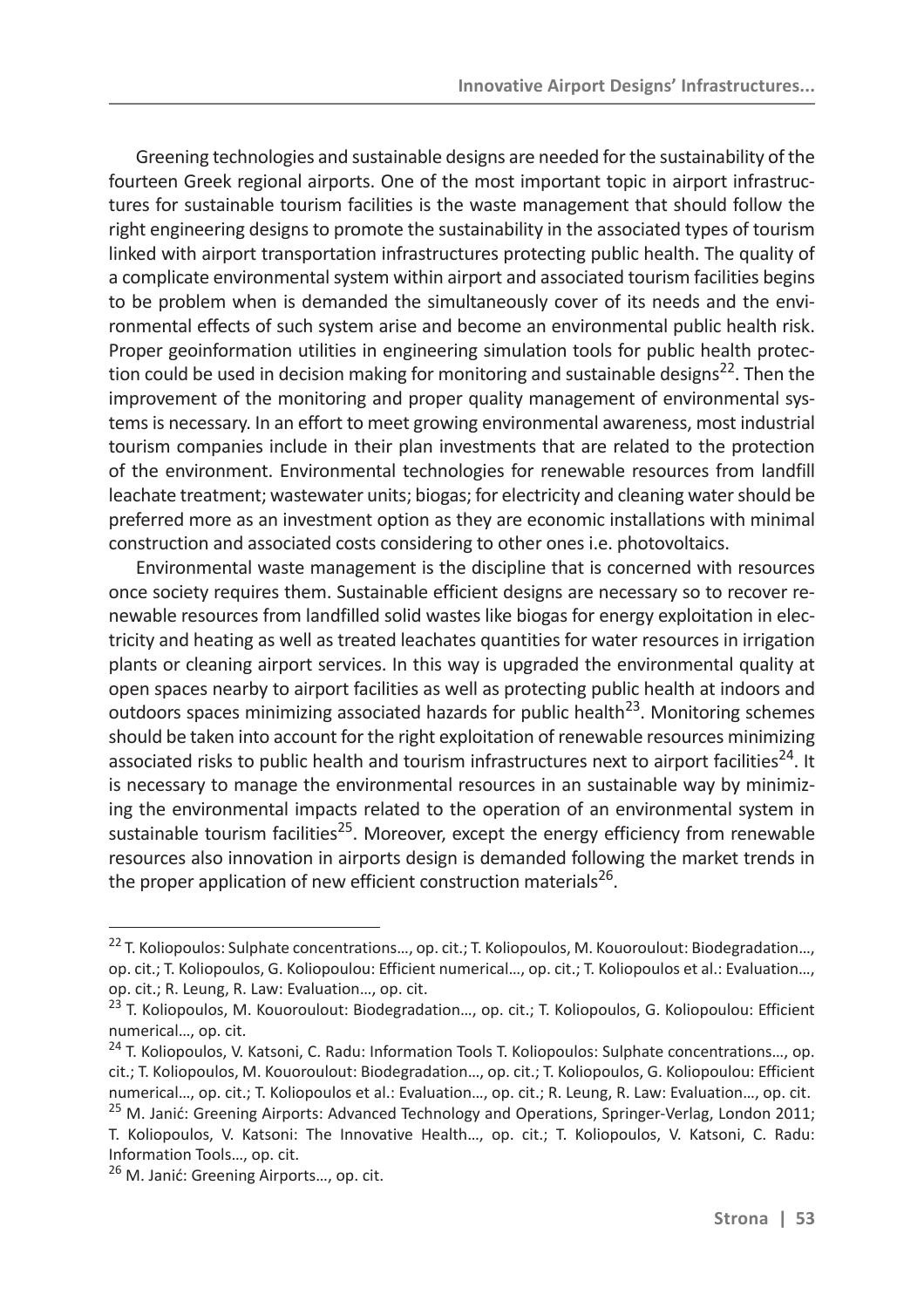Greening technologies and sustainable designs are needed for the sustainability of the fourteen Greek regional airports. One of the most important topic in airport infrastructures for sustainable tourism facilities is the waste management that should follow the right engineering designs to promote the sustainability in the associated types of tourism linked with airport transportation infrastructures protecting public health. The quality of a complicate environmental system within airport and associated tourism facilities begins to be problem when is demanded the simultaneously cover of its needs and the environmental effects of such system arise and become an environmental public health risk. Proper geoinformation utilities in engineering simulation tools for public health protection could be used in decision making for monitoring and sustainable designs<sup>22</sup>. Then the improvement of the monitoring and proper quality management of environmental systems is necessary. In an effort to meet growing environmental awareness, most industrial tourism companies include in their plan investments that are related to the protection of the environment. Environmental technologies for renewable resources from landfill leachate treatment; wastewater units; biogas; for electricity and cleaning water should be preferred more as an investment option as they are economic installations with minimal construction and associated costs considering to other ones i.e. photovoltaics.

Environmental waste management is the discipline that is concerned with resources once society requires them. Sustainable efficient designs are necessary so to recover renewable resources from landfilled solid wastes like biogas for energy exploitation in electricity and heating as well as treated leachates quantities for water resources in irrigation plants or cleaning airport services. In this way is upgraded the environmental quality at open spaces nearby to airport facilities as well as protecting public health at indoors and outdoors spaces minimizing associated hazards for public health<sup>23</sup>. Monitoring schemes should be taken into account for the right exploitation of renewable resources minimizing associated risks to public health and tourism infrastructures next to airport facilities<sup>24</sup>. It is necessary to manage the environmental resources in an sustainable way by minimizing the environmental impacts related to the operation of an environmental system in sustainable tourism facilities<sup>25</sup>. Moreover, except the energy efficiency from renewable resources also innovation in airports design is demanded following the market trends in the proper application of new efficient construction materials<sup>26</sup>.

<sup>&</sup>lt;sup>22</sup> T. Koliopoulos: Sulphate concentrations..., op. cit.; T. Koliopoulos, M. Kouoroulout: Biodegradation..., op. cit.; T. Koliopoulos, G. Koliopoulou: Efficient numerical…, op. cit.; T. Koliopoulos et al.: Evaluation…, op. cit.; R. Leung, R. Law: Evaluation…, op. cit.

<sup>&</sup>lt;sup>23</sup> T. Koliopoulos, M. Kouoroulout: Biodegradation..., op. cit.; T. Koliopoulos, G. Koliopoulou: Efficient numerical…, op. cit.

<sup>&</sup>lt;sup>24</sup> T. Koliopoulos, V. Katsoni, C. Radu: Information Tools T. Koliopoulos: Sulphate concentrations..., op. cit.; T. Koliopoulos, M. Kouoroulout: Biodegradation…, op. cit.; T. Koliopoulos, G. Koliopoulou: Efficient numerical…, op. cit.; T. Koliopoulos et al.: Evaluation…, op. cit.; R. Leung, R. Law: Evaluation…, op. cit.

<sup>&</sup>lt;sup>25</sup> M. Janić: Greening Airports: Advanced Technology and Operations, Springer-Verlag, London 2011; T. Koliopoulos, V. Katsoni: The Innovative Health…, op. cit.; T. Koliopoulos, V. Katsoni, C. Radu: Information Tools…, op. cit.

<sup>&</sup>lt;sup>26</sup> M. Janić: Greening Airports..., op. cit.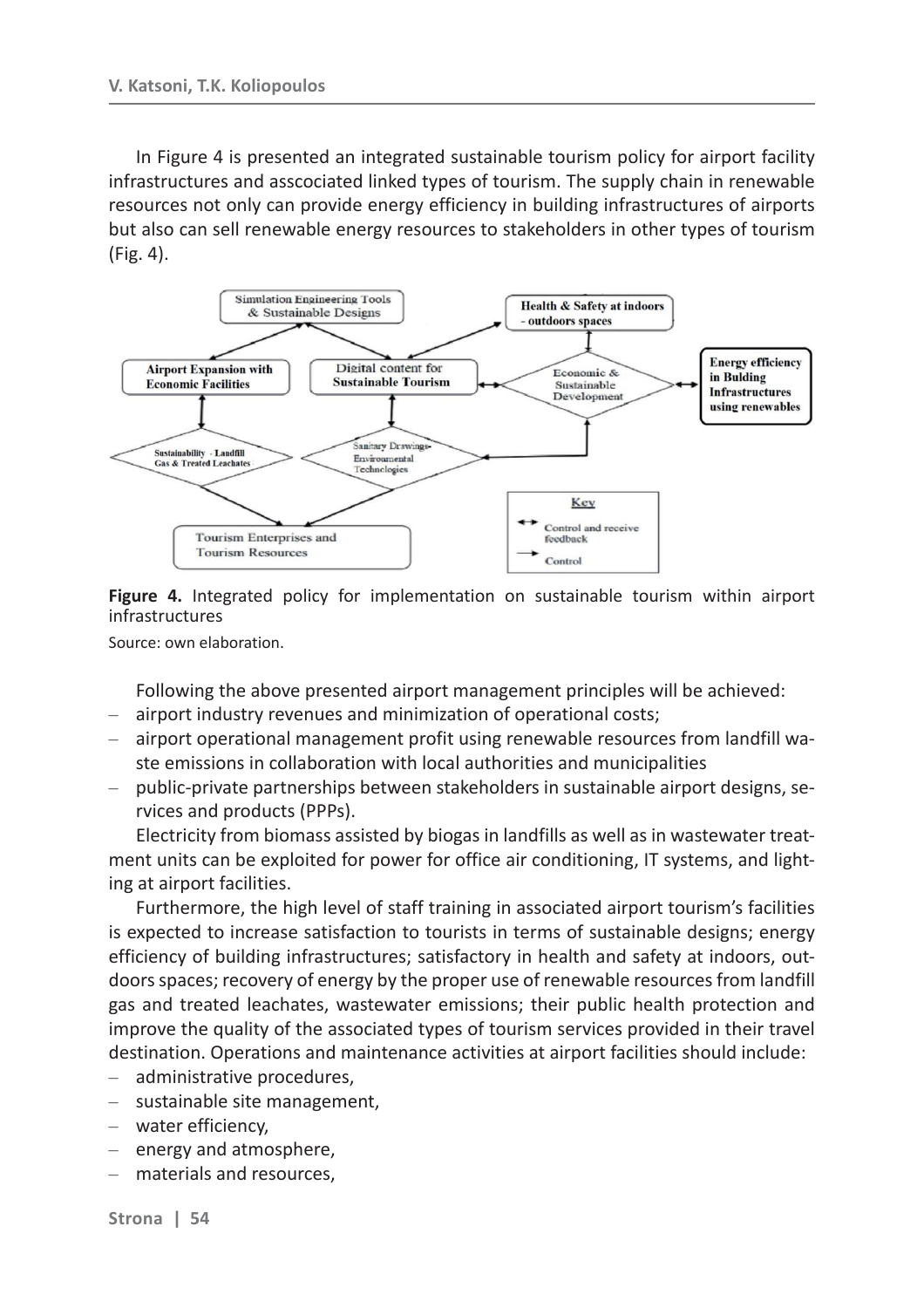In Figure 4 is presented an integrated sustainable tourism policy for airport facility infrastructures and asscociated linked types of tourism. The supply chain in renewable resources not only can provide energy efficiency in building infrastructures of airports but also can sell renewable energy resources to stakeholders in other types of tourism (Fig. 4).



**Figure 4.** Integrated policy for implementation on sustainable tourism within airport infrastructures

Source: own elaboration.

Following the above presented airport management principles will be achieved:

- airport industry revenues and minimization of operational costs;
- airport operational management profit using renewable resources from landfill waste emissions in collaboration with local authorities and municipalities
- public-private partnerships between stakeholders in sustainable airport designs, services and products (PPPs). –

Electricity from biomass assisted by biogas in landfills as well as in wastewater treatment units can be exploited for power for office air conditioning, IT systems, and lighting at airport facilities.

Furthermore, the high level of staff training in associated airport tourism's facilities is expected to increase satisfaction to tourists in terms of sustainable designs; energy efficiency of building infrastructures; satisfactory in health and safety at indoors, outdoors spaces; recovery of energy by the proper use of renewable resources from landfill gas and treated leachates, wastewater emissions; their public health protection and improve the quality of the associated types of tourism services provided in their travel destination. Operations and maintenance activities at airport facilities should include:

- administrative procedures, –
- sustainable site management, –
- water efficiency, –
- energy and atmosphere,
- materials and resources, –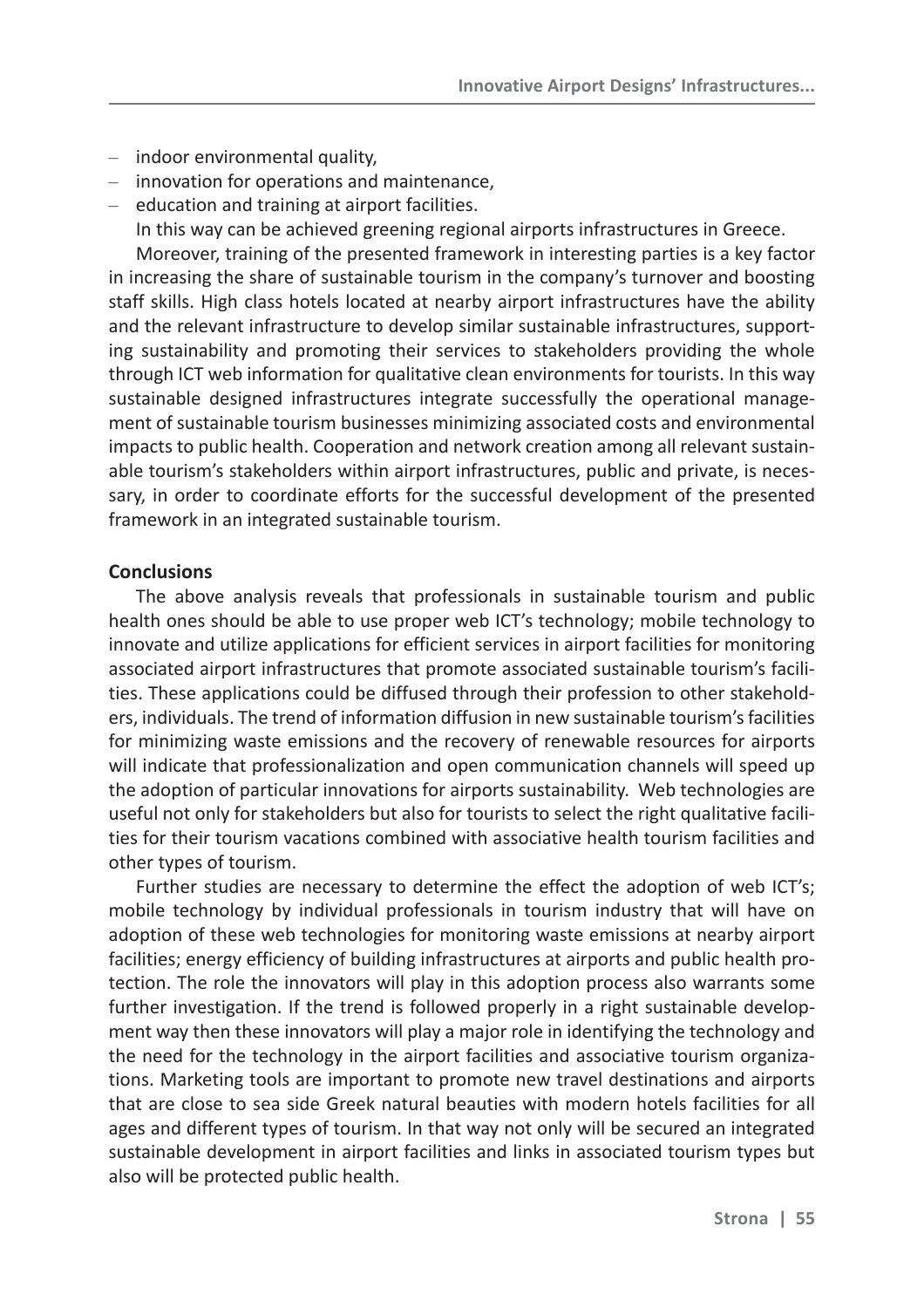- indoor environmental quality,
- innovation for operations and maintenance,
- education and training at airport facilities. In this way can be achieved greening regional airports infrastructures in Greece.

Moreover, training of the presented framework in interesting parties is a key factor in increasing the share of sustainable tourism in the company's turnover and boosting staff skills. High class hotels located at nearby airport infrastructures have the ability and the relevant infrastructure to develop similar sustainable infrastructures, supporting sustainability and promoting their services to stakeholders providing the whole through ICT web information for qualitative clean environments for tourists. In this way sustainable designed infrastructures integrate successfully the operational management of sustainable tourism businesses minimizing associated costs and environmental impacts to public health. Cooperation and network creation among all relevant sustainable tourism's stakeholders within airport infrastructures, public and private, is necessary, in order to coordinate efforts for the successful development of the presented framework in an integrated sustainable tourism.

### **Conclusions**

The above analysis reveals that professionals in sustainable tourism and public health ones should be able to use proper web ICT's technology; mobile technology to innovate and utilize applications for efficient services in airport facilities for monitoring associated airport infrastructures that promote associated sustainable tourism's facilities. These applications could be diffused through their profession to other stakeholders, individuals. The trend of information diffusion in new sustainable tourism's facilities for minimizing waste emissions and the recovery of renewable resources for airports will indicate that professionalization and open communication channels will speed up the adoption of particular innovations for airports sustainability. Web technologies are useful not only for stakeholders but also for tourists to select the right qualitative facilities for their tourism vacations combined with associative health tourism facilities and other types of tourism.

Further studies are necessary to determine the effect the adoption of web ICT's; mobile technology by individual professionals in tourism industry that will have on adoption of these web technologies for monitoring waste emissions at nearby airport facilities; energy efficiency of building infrastructures at airports and public health protection. The role the innovators will play in this adoption process also warrants some further investigation. If the trend is followed properly in a right sustainable development way then these innovators will play a major role in identifying the technology and the need for the technology in the airport facilities and associative tourism organizations. Marketing tools are important to promote new travel destinations and airports that are close to sea side Greek natural beauties with modern hotels facilities for all ages and different types of tourism. In that way not only will be secured an integrated sustainable development in airport facilities and links in associated tourism types but also will be protected public health.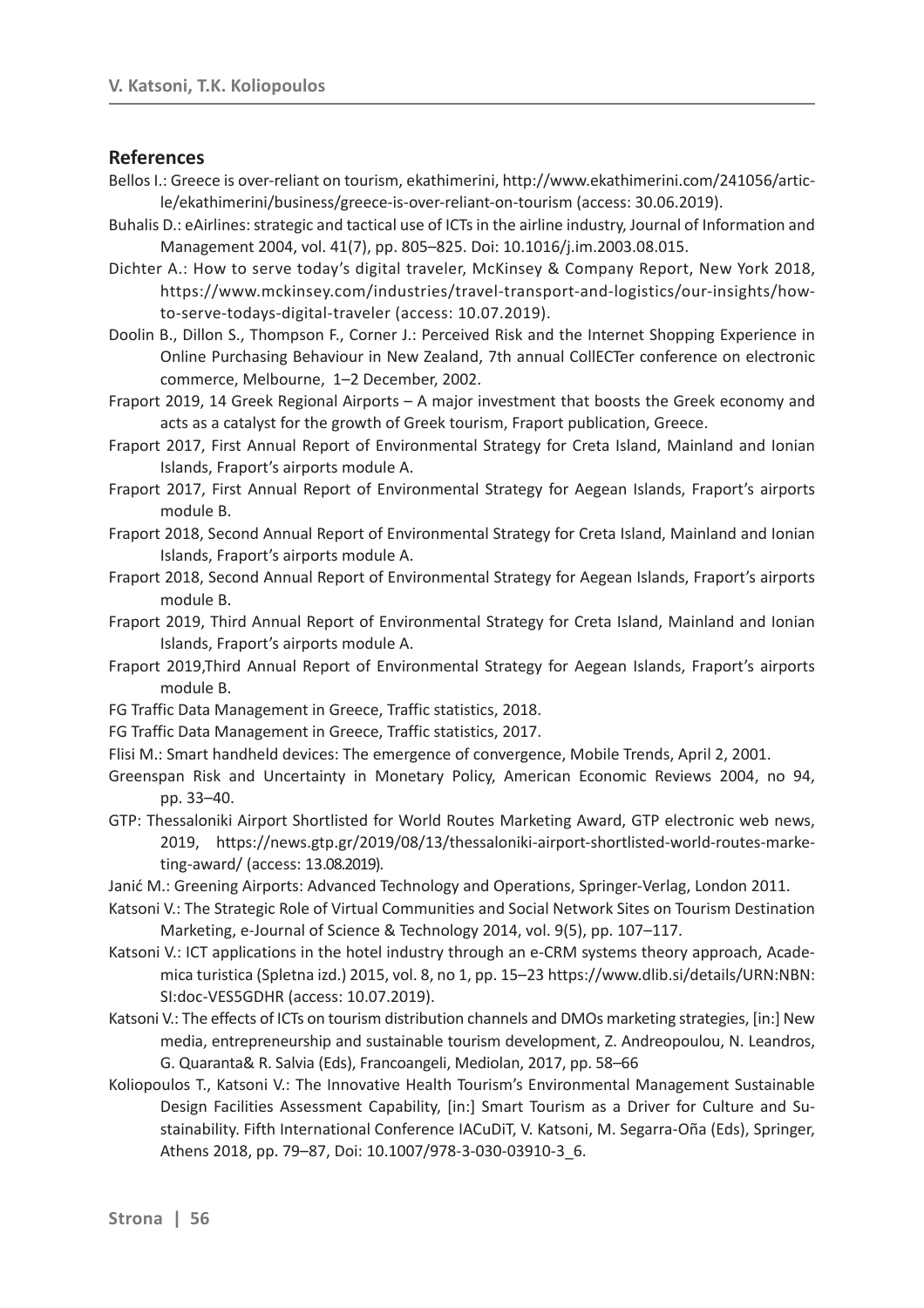#### **References**

- Bellos I.: Greece is over-reliant on tourism, ekathimerini, http://www.ekathimerini.com/241056/article/ekathimerini/business/greece-is-over-reliant-on-tourism (access: 30.06.2019).
- Buhalis D.: eAirlines: strategic and tactical use of ICTs in the airline industry, Journal of Information and Management 2004, vol. 41(7), pp. 805–825. Doi: 10.1016/j.im.2003.08.015.
- Dichter A.: How to serve today's digital traveler, McKinsey & Company Report, New York 2018, https://www.mckinsey.com/industries/travel-transport-and-logistics/our-insights/howto-serve-todays-digital-traveler (access: 10.07.2019).
- Doolin B., Dillon S., Thompson F., Corner J.: Perceived Risk and the Internet Shopping Experience in Online Purchasing Behaviour in New Zealand, 7th annual CollECTer conference on electronic commerce, Melbourne, 1–2 December, 2002.
- Fraport 2019, 14 Greek Regional Airports A major investment that boosts the Greek economy and acts as a catalyst for the growth of Greek tourism, Fraport publication, Greece.
- Fraport 2017, First Annual Report of Environmental Strategy for Creta Island, Mainland and Ionian Islands, Fraport's airports module A.
- Fraport 2017, First Annual Report of Environmental Strategy for Aegean Islands, Fraport's airports module B.
- Fraport 2018, Second Annual Report of Environmental Strategy for Creta Island, Mainland and Ionian Islands, Fraport's airports module A.
- Fraport 2018, Second Annual Report of Environmental Strategy for Aegean Islands, Fraport's airports module B.
- Fraport 2019, Third Annual Report of Environmental Strategy for Creta Island, Mainland and Ionian Islands, Fraport's airports module A.
- Fraport 2019,Third Annual Report of Environmental Strategy for Aegean Islands, Fraport's airports module B.
- FG Traffic Data Management in Greece, Traffic statistics, 2018.
- FG Traffic Data Management in Greece, Traffic statistics, 2017.
- Flisi M.: Smart handheld devices: The emergence of convergence, Mobile Trends, April 2, 2001.
- Greenspan Risk and Uncertainty in Monetary Policy, American Economic Reviews 2004, no 94, pp. 33–40.
- GTP: Thessaloniki Airport Shortlisted for World Routes Marketing Award, GTP electronic web news, 2019, https://news.gtp.gr/2019/08/13/thessaloniki-airport-shortlisted-world-routes-marketing-award/ (access: 13.08.2019).
- Janić M.: Greening Airports: Advanced Technology and Operations, Springer-Verlag, London 2011.
- Katsoni V.: The Strategic Role of Virtual Communities and Social Network Sites on Tourism Destination Marketing, e-Journal of Science & Technology 2014, vol. 9(5), pp. 107–117.
- Katsoni V.: ICT applications in the hotel industry through an e-CRM systems theory approach, Academica turistica (Spletna izd.) 2015, vol. 8, no 1, pp. 15–23 https://www.dlib.si/details/URN:NBN: SI:doc-VES5GDHR (access: 10.07.2019).
- Katsoni V.: The effects of ICTs on tourism distribution channels and DMOs marketing strategies, [in:] New media, entrepreneurship and sustainable tourism development, Z. Andreopoulou, N. Leandros, G. Quaranta& R. Salvia (Eds), Francoangeli, Mediolan, 2017, pp. 58–66
- Koliopoulos T., Katsoni V.: The Innovative Health Tourism's Environmental Management Sustainable Design Facilities Assessment Capability, [in:] Smart Tourism as a Driver for Culture and Sustainability. Fifth International Conference IACuDiT, V. Katsoni, M. Segarra-Oña (Eds), Springer, Athens 2018, pp. 79–87, Doi: 10.1007/978-3-030-03910-3\_6.